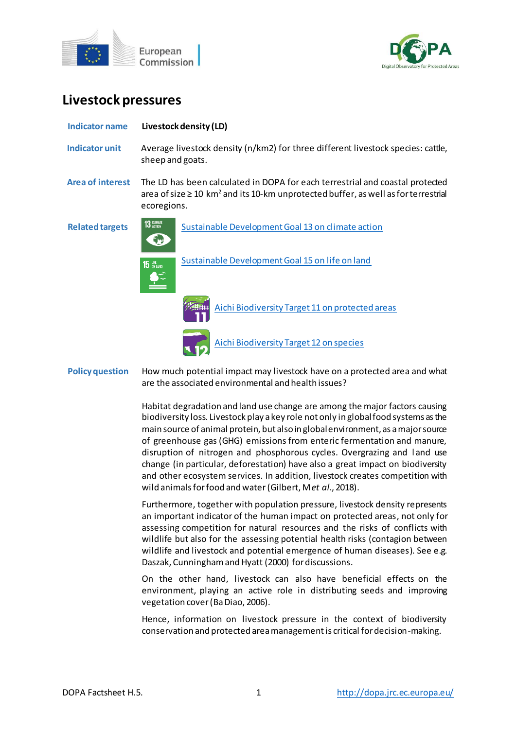



# **Livestock pressures**

| <b>Indicator name</b>   | Livestock density (LD)                                                                                                                                                                           |
|-------------------------|--------------------------------------------------------------------------------------------------------------------------------------------------------------------------------------------------|
| <b>Indicator unit</b>   | Average livestock density (n/km2) for three different livestock species: cattle,<br>sheep and goats.                                                                                             |
| <b>Area of interest</b> | The LD has been calculated in DOPA for each terrestrial and coastal protected<br>area of size $\geq 10 \text{ km}^2$ and its 10-km unprotected buffer, as well as for terrestrial<br>ecoregions. |
| <b>Related targets</b>  | <b>13 GLIMATE</b><br>Sustainable Development Goal 13 on climate action                                                                                                                           |
|                         | Sustainable Development Goal 15 on life on land<br><b>15 UFE</b>                                                                                                                                 |
|                         | Aichi Biodiversity Target 11 on protected areas                                                                                                                                                  |
|                         | Aichi Biodiversity Target 12 on species                                                                                                                                                          |
| <b>Policy question</b>  | How much potential impact may livestock have on a protected area and what<br>are the associated environmental and health issues?                                                                 |

Habitat degradation and land use change are among the major factors causing biodiversity loss. Livestock play a key role not only in global food systems as the main source of animal protein, but also in global environment, as a major source of greenhouse gas (GHG) emissions from enteric fermentation and manure, disruption of nitrogen and phosphorous cycles. Overgrazing and l and use change (in particular, deforestation) have also a great impact on biodiversity and other ecosystem services. In addition, livestock creates competition with wild animals for food and water(Gilbert, M *et al*., 2018).

Furthermore, together with population pressure, livestock density represents an important indicator of the human impact on protected areas, not only for assessing competition for natural resources and the risks of conflicts with wildlife but also for the assessing potential health risks (contagion between wildlife and livestock and potential emergence of human diseases). See e.g. Daszak, Cunninghamand Hyatt (2000) for discussions.

On the other hand, livestock can also have beneficial effects on the environment, playing an active role in distributing seeds and improving vegetation cover (Ba Diao, 2006).

Hence, information on livestock pressure in the context of biodiversity conservation and protected area management is critical for decision-making.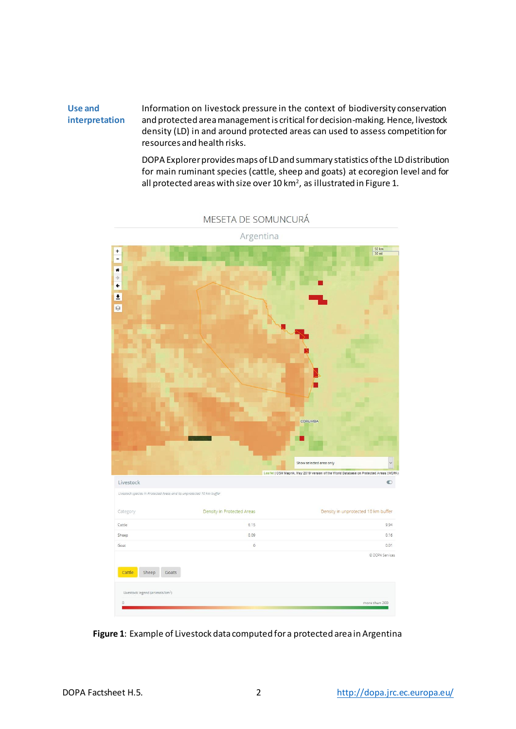#### **Use and interpretation** Information on livestock pressure in the context of biodiversity conservation and protected area management is critical for decision-making. Hence, livestock density (LD) in and around protected areas can used to assess competition for resources and health risks.

DOPA Explorer provides maps of LD and summary statistics of the LD distribution for main ruminant species (cattle, sheep and goats) at ecoregion level and for all protected areas with size over 10 km², as illustrated in Figure 1.  $\,$ 



MESETA DE SOMUNCURÁ

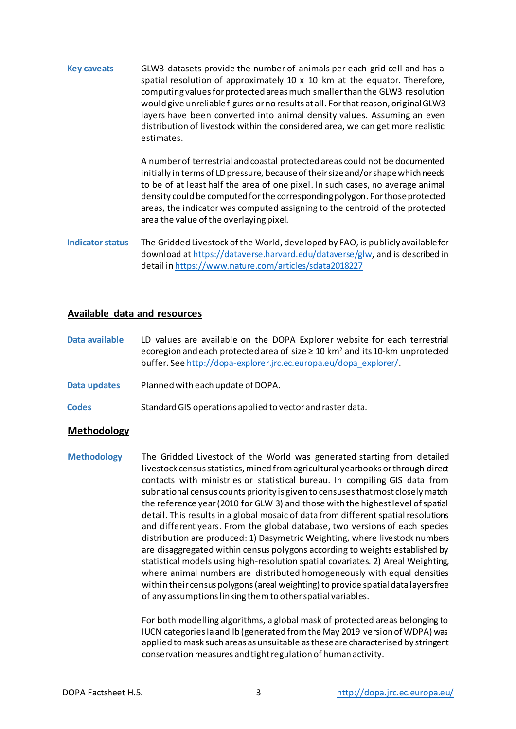**Key caveats** GLW3 datasets provide the number of animals per each grid cell and has a spatial resolution of approximately 10 x 10 km at the equator. Therefore, computing values for protected areas much smaller than the GLW3 resolution would give unreliable figures or no results at all. For that reason, original GLW3 layers have been converted into animal density values. Assuming an even distribution of livestock within the considered area, we can get more realistic estimates.

> A number of terrestrial and coastal protected areas could not be documented initially in terms of LD pressure, because of their size and/or shape which needs to be of at least half the area of one pixel. In such cases, no average animal density could be computed for the corresponding polygon. For those protected areas, the indicator was computed assigning to the centroid of the protected area the value of the overlaying pixel.

**Indicator status** The Gridded Livestock of the World, developed by FAO, is publicly available for download at <https://dataverse.harvard.edu/dataverse/glw>, and is described in detail i[n https://www.nature.com/articles/sdata2018227](https://www.nature.com/articles/sdata2018227)

# **Available data and resources**

**Data available** LD values are available on the DOPA Explorer website for each terrestrial ecoregion and each protected area of size  $\geq 10$  km<sup>2</sup> and its 10-km unprotected buffer. See [http://dopa-explorer.jrc.ec.europa.eu/dopa\\_explorer/](http://dopa-explorer.jrc.ec.europa.eu/dopa_explorer/).

- **Data updates** Planned with each update of DOPA.
- **Codes** Standard GIS operations applied to vector and raster data.

# **Methodology**

**Methodology** The Gridded Livestock of the World was generated starting from detailed livestock census statistics, mined from agricultural yearbooks or through direct contacts with ministries or statistical bureau. In compiling GIS data from subnational census counts priority is given to censuses that most closely match the reference year (2010 for GLW 3) and those with the highest level of spatial detail. This results in a global mosaic of data from different spatial resolutions and different years. From the global database, two versions of each species distribution are produced: 1) Dasymetric Weighting, where livestock numbers are disaggregated within census polygons according to weights established by statistical models using high-resolution spatial covariates. 2) Areal Weighting, where animal numbers are distributed homogeneously with equal densities within their census polygons (areal weighting) to provide spatial data layers free of any assumptions linking them to other spatial variables.

> For both modelling algorithms, a global mask of protected areas belonging to IUCN categories Ia and Ib (generated from the May 2019 version of WDPA) was applied to mask such areas as unsuitable as these are characterised by stringent conservation measures and tight regulation of human activity.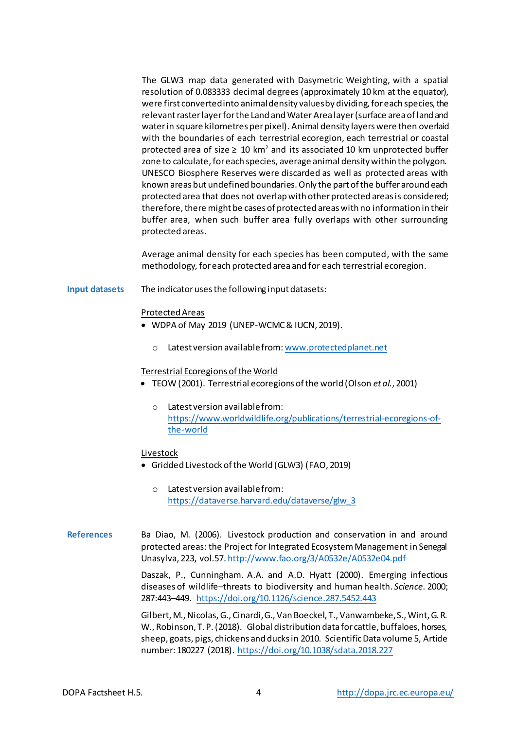The GLW3 map data generated with Dasymetric Weighting, with a spatial resolution of 0.083333 decimal degrees (approximately 10 km at the equator), were first converted into animaldensity values by dividing, for each species, the relevant raster layer for the Land and Water Area layer (surface area of land and water in square kilometres per pixel). Animal density layers were then overlaid with the boundaries of each terrestrial ecoregion, each terrestrial or coastal protected area of size  $\geq 10$  km<sup>2</sup> and its associated 10 km unprotected buffer zone to calculate, for each species, average animal density within the polygon. UNESCO Biosphere Reserves were discarded as well as protected areas with known areas but undefined boundaries. Only the part of the buffer around each protected area that does not overlap with other protected areas is considered; therefore, there might be cases of protected areas with no information in their buffer area, when such buffer area fully overlaps with other surrounding protected areas.

Average animal density for each species has been computed, with the same methodology, for each protected area and for each terrestrial ecoregion.

**Input datasets** The indicator uses the following input datasets:

#### Protected Areas

- WDPA of May 2019 (UNEP-WCMC & IUCN, 2019).
	- o Latest version available from[: www.protectedplanet.net](http://www.protectedplanet.net/)

## Terrestrial Ecoregions of the World

- TEOW (2001). Terrestrial ecoregions of the world (Olson *et al.*, 2001)
	- o Latest version available from: [https://www.worldwildlife.org/publications/terrestrial-ecoregions-of](https://www.worldwildlife.org/publications/terrestrial-ecoregions-of-the-world)[the-world](https://www.worldwildlife.org/publications/terrestrial-ecoregions-of-the-world)

## Livestock

- Gridded Livestock of the World (GLW3) (FAO, 2019)
	- o Latest version available from: [https://dataverse.harvard.edu/dataverse/glw\\_3](https://dataverse.harvard.edu/dataverse/glw_3)

**References** Ba Diao, M. (2006). Livestock production and conservation in and around protected areas: the Project for Integrated Ecosystem Management in Senegal Unasylva, 223, vol.57. <http://www.fao.org/3/A0532e/A0532e04.pdf>

> Daszak, P., Cunningham. A.A. and A.D. Hyatt (2000). Emerging infectious diseases of wildlife–threats to biodiversity and human health. *Science*. 2000; 287:443–449. <https://doi.org/10.1126/science.287.5452.443>

> Gilbert, M., Nicolas, G., Cinardi, G., Van Boeckel, T., Vanwambeke, S., Wint, G. R. W., Robinson, T. P. (2018). Global distribution data for cattle, buffaloes, horses, sheep, goats, pigs, chickens and ducks in 2010. Scientific Data volume 5, Article number: 180227 (2018).<https://doi.org/10.1038/sdata.2018.227>